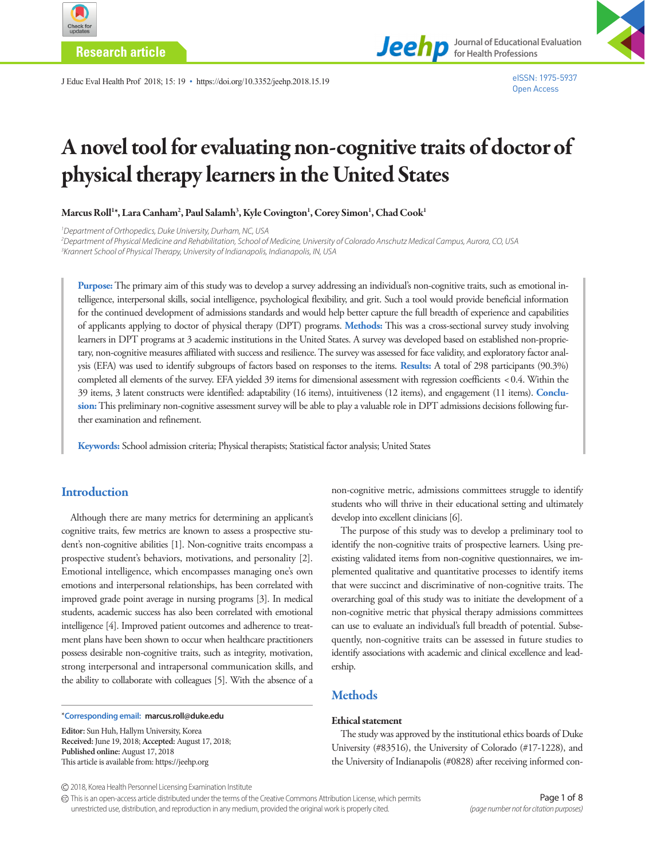

**Research article**

**Journal of Educational Evaluation for Health Professions**

J Educ Eval Health Prof 2018; 15: 19 • https://doi.org/10.3352/jeehp.2018.15.19

# A novel tool for evaluating non-cognitive traits of doctor of physical therapy learners in the United States

Marcus Roll<sup>1</sup>\*, Lara Canham<sup>2</sup>, Paul Salamh<sup>3</sup>, Kyle Covington<sup>1</sup>, Corey Simon<sup>1</sup>, Chad Cook<sup>1</sup>

*1 Department of Orthopedics, Duke University, Durham, NC, USA* 

*2 Department of Physical Medicine and Rehabilitation, School of Medicine, University of Colorado Anschutz Medical Campus, Aurora, CO, USA 3 Krannert School of Physical Therapy, University of Indianapolis, Indianapolis, IN, USA*

**Purpose:** The primary aim of this study was to develop a survey addressing an individual's non-cognitive traits, such as emotional intelligence, interpersonal skills, social intelligence, psychological flexibility, and grit. Such a tool would provide beneficial information for the continued development of admissions standards and would help better capture the full breadth of experience and capabilities of applicants applying to doctor of physical therapy (DPT) programs. **Methods:** This was a cross-sectional survey study involving learners in DPT programs at 3 academic institutions in the United States. A survey was developed based on established non-proprietary, non-cognitive measures affiliated with success and resilience. The survey was assessed for face validity, and exploratory factor analysis (EFA) was used to identify subgroups of factors based on responses to the items. **Results:** A total of 298 participants (90.3%) completed all elements of the survey. EFA yielded 39 items for dimensional assessment with regression coefficients < 0.4. Within the 39 items, 3 latent constructs were identified: adaptability (16 items), intuitiveness (12 items), and engagement (11 items). **Conclusion:** This preliminary non-cognitive assessment survey will be able to play a valuable role in DPT admissions decisions following further examination and refinement.

**Keywords:** School admission criteria; Physical therapists; Statistical factor analysis; United States

# **Introduction**

Although there are many metrics for determining an applicant's cognitive traits, few metrics are known to assess a prospective student's non-cognitive abilities [1]. Non-cognitive traits encompass a prospective student's behaviors, motivations, and personality [2]. Emotional intelligence, which encompasses managing one's own emotions and interpersonal relationships, has been correlated with improved grade point average in nursing programs [3]. In medical students, academic success has also been correlated with emotional intelligence [4]. Improved patient outcomes and adherence to treatment plans have been shown to occur when healthcare practitioners possess desirable non-cognitive traits, such as integrity, motivation, strong interpersonal and intrapersonal communication skills, and the ability to collaborate with colleagues [5]. With the absence of a

\***Corresponding email: marcus.roll@duke.edu**

**Editor:** Sun Huh, Hallym University, Korea **Received:** June 19, 2018; **Accepted:** August 17, 2018; **Published online:** August 17, 2018 This article is available from: https://jeehp.org

non-cognitive metric, admissions committees struggle to identify students who will thrive in their educational setting and ultimately develop into excellent clinicians [6].

The purpose of this study was to develop a preliminary tool to identify the non-cognitive traits of prospective learners. Using preexisting validated items from non-cognitive questionnaires, we implemented qualitative and quantitative processes to identify items that were succinct and discriminative of non-cognitive traits. The overarching goal of this study was to initiate the development of a non-cognitive metric that physical therapy admissions committees can use to evaluate an individual's full breadth of potential. Subsequently, non-cognitive traits can be assessed in future studies to identify associations with academic and clinical excellence and leadership.

# **Methods**

#### Ethical statement

The study was approved by the institutional ethics boards of Duke University (#83516), the University of Colorado (#17-1228), and the University of Indianapolis (#0828) after receiving informed con-

2018, Korea Health Personnel Licensing Examination Institute

This is an open-access article distributed under the terms of the Creative Commons Attribution License, which permits unrestricted use, distribution, and reproduction in any medium, provided the original work is properly cited.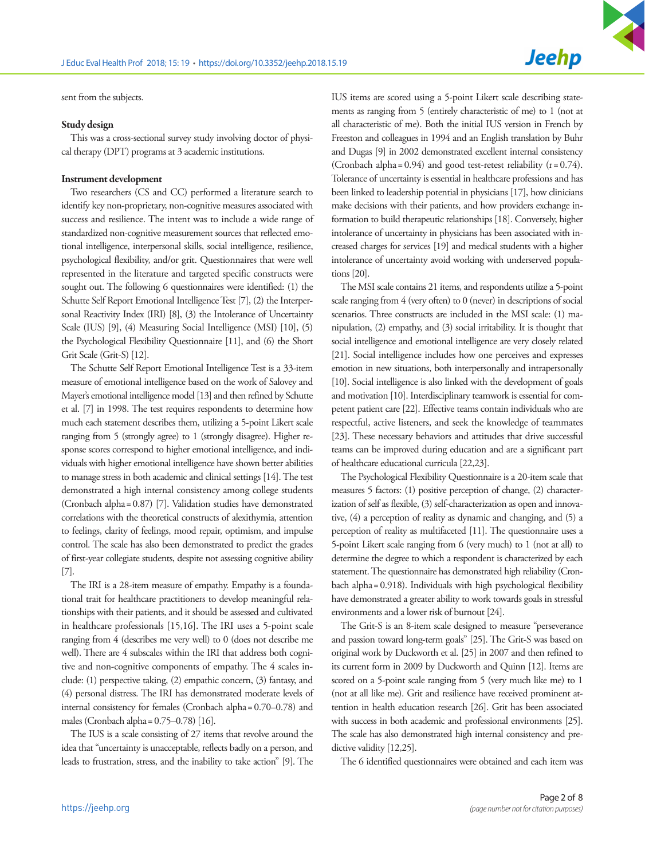sent from the subjects.

#### Study design

This was a cross-sectional survey study involving doctor of physical therapy (DPT) programs at 3 academic institutions.

#### Instrument development

Two researchers (CS and CC) performed a literature search to identify key non-proprietary, non-cognitive measures associated with success and resilience. The intent was to include a wide range of standardized non-cognitive measurement sources that reflected emotional intelligence, interpersonal skills, social intelligence, resilience, psychological flexibility, and/or grit. Questionnaires that were well represented in the literature and targeted specific constructs were sought out. The following 6 questionnaires were identified: (1) the Schutte Self Report Emotional Intelligence Test [7], (2) the Interpersonal Reactivity Index (IRI) [8], (3) the Intolerance of Uncertainty Scale (IUS) [9], (4) Measuring Social Intelligence (MSI) [10], (5) the Psychological Flexibility Questionnaire [11], and (6) the Short Grit Scale (Grit-S) [12].

The Schutte Self Report Emotional Intelligence Test is a 33-item measure of emotional intelligence based on the work of Salovey and Mayer's emotional intelligence model [13] and then refined by Schutte et al. [7] in 1998. The test requires respondents to determine how much each statement describes them, utilizing a 5-point Likert scale ranging from 5 (strongly agree) to 1 (strongly disagree). Higher response scores correspond to higher emotional intelligence, and individuals with higher emotional intelligence have shown better abilities to manage stress in both academic and clinical settings [14]. The test demonstrated a high internal consistency among college students (Cronbach alpha= 0.87) [7]. Validation studies have demonstrated correlations with the theoretical constructs of alexithymia, attention to feelings, clarity of feelings, mood repair, optimism, and impulse control. The scale has also been demonstrated to predict the grades of first-year collegiate students, despite not assessing cognitive ability [7].

The IRI is a 28-item measure of empathy. Empathy is a foundational trait for healthcare practitioners to develop meaningful relationships with their patients, and it should be assessed and cultivated in healthcare professionals [15,16]. The IRI uses a 5-point scale ranging from 4 (describes me very well) to 0 (does not describe me well). There are 4 subscales within the IRI that address both cognitive and non-cognitive components of empathy. The 4 scales include: (1) perspective taking, (2) empathic concern, (3) fantasy, and (4) personal distress. The IRI has demonstrated moderate levels of internal consistency for females (Cronbach alpha= 0.70–0.78) and males (Cronbach alpha= 0.75–0.78) [16].

The IUS is a scale consisting of 27 items that revolve around the idea that "uncertainty is unacceptable, reflects badly on a person, and leads to frustration, stress, and the inability to take action" [9]. The IUS items are scored using a 5-point Likert scale describing statements as ranging from 5 (entirely characteristic of me) to 1 (not at all characteristic of me). Both the initial IUS version in French by Freeston and colleagues in 1994 and an English translation by Buhr and Dugas [9] in 2002 demonstrated excellent internal consistency (Cronbach alpha=  $0.94$ ) and good test-retest reliability ( $r = 0.74$ ). Tolerance of uncertainty is essential in healthcare professions and has been linked to leadership potential in physicians [17], how clinicians make decisions with their patients, and how providers exchange information to build therapeutic relationships [18]. Conversely, higher intolerance of uncertainty in physicians has been associated with increased charges for services [19] and medical students with a higher intolerance of uncertainty avoid working with underserved populations [20].

The MSI scale contains 21 items, and respondents utilize a 5-point scale ranging from 4 (very often) to 0 (never) in descriptions of social scenarios. Three constructs are included in the MSI scale: (1) manipulation, (2) empathy, and (3) social irritability. It is thought that social intelligence and emotional intelligence are very closely related [21]. Social intelligence includes how one perceives and expresses emotion in new situations, both interpersonally and intrapersonally [10]. Social intelligence is also linked with the development of goals and motivation [10]. Interdisciplinary teamwork is essential for competent patient care [22]. Effective teams contain individuals who are respectful, active listeners, and seek the knowledge of teammates [23]. These necessary behaviors and attitudes that drive successful teams can be improved during education and are a significant part of healthcare educational curricula [22,23].

The Psychological Flexibility Questionnaire is a 20-item scale that measures 5 factors: (1) positive perception of change, (2) characterization of self as flexible, (3) self-characterization as open and innovative, (4) a perception of reality as dynamic and changing, and (5) a perception of reality as multifaceted [11]. The questionnaire uses a 5-point Likert scale ranging from 6 (very much) to 1 (not at all) to determine the degree to which a respondent is characterized by each statement. The questionnaire has demonstrated high reliability (Cronbach alpha= 0.918). Individuals with high psychological flexibility have demonstrated a greater ability to work towards goals in stressful environments and a lower risk of burnout [24].

The Grit-S is an 8-item scale designed to measure "perseverance and passion toward long-term goals" [25]. The Grit-S was based on original work by Duckworth et al. [25] in 2007 and then refined to its current form in 2009 by Duckworth and Quinn [12]. Items are scored on a 5-point scale ranging from 5 (very much like me) to 1 (not at all like me). Grit and resilience have received prominent attention in health education research [26]. Grit has been associated with success in both academic and professional environments [25]. The scale has also demonstrated high internal consistency and predictive validity [12,25].

The 6 identified questionnaires were obtained and each item was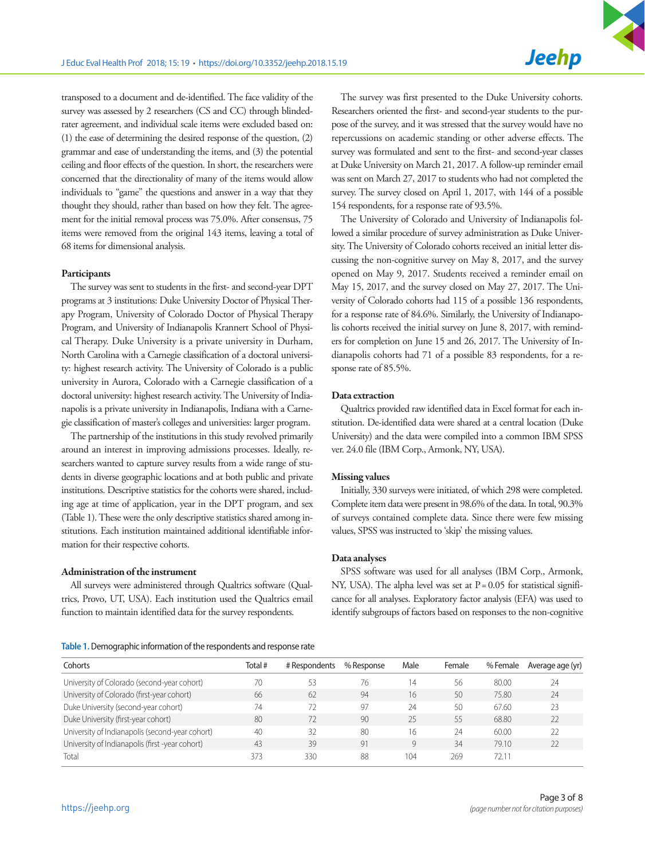transposed to a document and de-identified. The face validity of the survey was assessed by 2 researchers (CS and CC) through blindedrater agreement, and individual scale items were excluded based on: (1) the ease of determining the desired response of the question, (2) grammar and ease of understanding the items, and (3) the potential ceiling and floor effects of the question. In short, the researchers were concerned that the directionality of many of the items would allow individuals to "game" the questions and answer in a way that they thought they should, rather than based on how they felt. The agreement for the initial removal process was 75.0%. After consensus, 75 items were removed from the original 143 items, leaving a total of 68 items for dimensional analysis.

#### Participants

The survey was sent to students in the first- and second-year DPT programs at 3 institutions: Duke University Doctor of Physical Therapy Program, University of Colorado Doctor of Physical Therapy Program, and University of Indianapolis Krannert School of Physical Therapy. Duke University is a private university in Durham, North Carolina with a Carnegie classification of a doctoral university: highest research activity. The University of Colorado is a public university in Aurora, Colorado with a Carnegie classification of a doctoral university: highest research activity. The University of Indianapolis is a private university in Indianapolis, Indiana with a Carnegie classification of master's colleges and universities: larger program.

The partnership of the institutions in this study revolved primarily around an interest in improving admissions processes. Ideally, researchers wanted to capture survey results from a wide range of students in diverse geographic locations and at both public and private institutions. Descriptive statistics for the cohorts were shared, including age at time of application, year in the DPT program, and sex (Table 1). These were the only descriptive statistics shared among institutions. Each institution maintained additional identifiable information for their respective cohorts.

#### Administration of the instrument

All surveys were administered through Qualtrics software (Qualtrics, Provo, UT, USA). Each institution used the Qualtrics email function to maintain identified data for the survey respondents.

| Table 1. Demographic information of the respondents and response rate |
|-----------------------------------------------------------------------|
|                                                                       |

The survey was first presented to the Duke University cohorts. Researchers oriented the first- and second-year students to the purpose of the survey, and it was stressed that the survey would have no repercussions on academic standing or other adverse effects. The survey was formulated and sent to the first- and second-year classes at Duke University on March 21, 2017. A follow-up reminder email was sent on March 27, 2017 to students who had not completed the survey. The survey closed on April 1, 2017, with 144 of a possible 154 respondents, for a response rate of 93.5%.

The University of Colorado and University of Indianapolis followed a similar procedure of survey administration as Duke University. The University of Colorado cohorts received an initial letter discussing the non-cognitive survey on May 8, 2017, and the survey opened on May 9, 2017. Students received a reminder email on May 15, 2017, and the survey closed on May 27, 2017. The University of Colorado cohorts had 115 of a possible 136 respondents, for a response rate of 84.6%. Similarly, the University of Indianapolis cohorts received the initial survey on June 8, 2017, with reminders for completion on June 15 and 26, 2017. The University of Indianapolis cohorts had 71 of a possible 83 respondents, for a response rate of 85.5%.

#### Data extraction

Qualtrics provided raw identified data in Excel format for each institution. De-identified data were shared at a central location (Duke University) and the data were compiled into a common IBM SPSS ver. 24.0 file (IBM Corp., Armonk, NY, USA).

#### Missing values

Initially, 330 surveys were initiated, of which 298 were completed. Complete item data were present in 98.6% of the data. In total, 90.3% of surveys contained complete data. Since there were few missing values, SPSS was instructed to 'skip' the missing values.

#### Data analyses

SPSS software was used for all analyses (IBM Corp., Armonk, NY, USA). The alpha level was set at  $P = 0.05$  for statistical significance for all analyses. Exploratory factor analysis (EFA) was used to identify subgroups of factors based on responses to the non-cognitive

| Cohorts                                         | Total# | # Respondents | % Response | Male | Female | % Female | Average age (yr) |
|-------------------------------------------------|--------|---------------|------------|------|--------|----------|------------------|
| University of Colorado (second-year cohort)     | 70     | 53            | 76         | 14   | 56     | 80.00    | 24               |
| University of Colorado (first-year cohort)      | 66     | 62            | 94         | 16   | 50     | 75.80    | 24               |
| Duke University (second-year cohort)            | 74     |               | 97         | 24   | 50     | 67.60    | 23               |
| Duke University (first-year cohort)             | 80     | 77            | 90         | 25   | 55     | 68.80    | 22               |
| University of Indianapolis (second-year cohort) | 40     | 32            | 80         | 16   | 24     | 60.00    | 22               |
| University of Indianapolis (first -year cohort) | 43     | 39            | 91         | 9    | 34     | 79.10    | 22               |
| Total                                           | 373    | 330           | 88         | 104  | 269    | 72 1     |                  |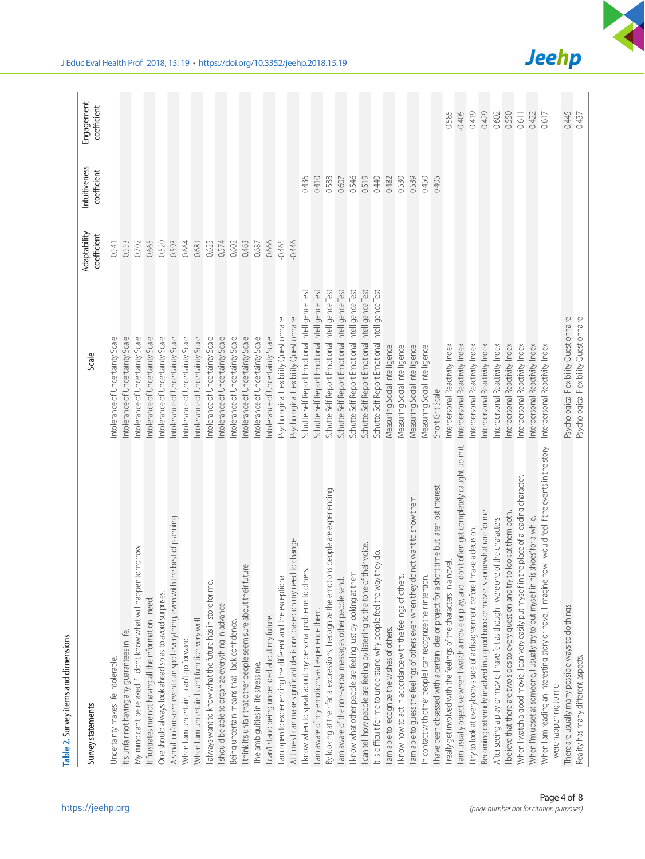| Table 2. Survey items and dimensions                                                                      |                                                 |                             |                              |                           |
|-----------------------------------------------------------------------------------------------------------|-------------------------------------------------|-----------------------------|------------------------------|---------------------------|
| Survey statements                                                                                         | Scale                                           | Adaptability<br>coefficient | Intuitiveness<br>coefficient | Engagement<br>coefficient |
| Uncertainty makes life intolerable.                                                                       | ntolerance of Uncertainty Scale                 | 0.541                       |                              |                           |
| It's unfair not having any guarantees in life.                                                            | ntolerance of Uncertainty Scale                 | 0.553                       |                              |                           |
| tomorrow<br>My mind can't be relaxed if I don't know what will happen                                     | ntolerance of Uncertainty Scale                 | 0.702                       |                              |                           |
| It frustrates me not having all the information I need.                                                   | ntolerance of Uncertainty Scale                 | 0.665                       |                              |                           |
| One should always look ahead so as to avoid surprises.                                                    | ntolerance of Uncertainty Scale                 | 0.520                       |                              |                           |
| A small unforeseen event can spoil everything, even with the best of planning.                            | ntolerance of Uncertainty Scale                 | 0.593                       |                              |                           |
| When I am uncertain, I can't go forward.                                                                  | ntolerance of Uncertainty Scale                 | 0.664                       |                              |                           |
| When I am uncertain I can't function very well.                                                           | Intolerance of Uncertainty Scale                | 0.681                       |                              |                           |
| lalways want to know what the future has in store for me.                                                 | Intolerance of Uncertainty Scale                | 0.625                       |                              |                           |
| I should be able to organize everything in advance.                                                       | ntolerance of Uncertainty Scale                 | 0.574                       |                              |                           |
| Being uncertain means that I lack confidence.                                                             | Intolerance of Uncertainty Scale                | 0.602                       |                              |                           |
| I think it's unfair that other people seem sure about their future.                                       | ntolerance of Uncertainty Scale                 | 0.463                       |                              |                           |
| The ambiguities in life stress me.                                                                        | ntolerance of Uncertainty Scale                 | 0.687                       |                              |                           |
| I can't stand being undecided about my future.                                                            | ntolerance of Uncertainty Scale                 | 0.666                       |                              |                           |
| I am open to experiencing the different and the exceptional.                                              | Psychological Flexibility Questionnaire         | $-0.465$                    |                              |                           |
| At times I can make significant decisions, based on my need to change.                                    | Psychological Flexibility Questionnaire         | $-0.446$                    |                              |                           |
| I know when to speak about my personal problems to others.                                                | Schutte Self Report Emotional Intelligence Test |                             | 0.436                        |                           |
| I am aware of my emotions as I experience them.                                                           | Schutte Self Report Emotional Intelligence Test |                             | 0.410                        |                           |
| By looking at their facial expressions, I recognize the emotions people are experiencing                  | Schutte Self Report Emotional Intelligence Test |                             | 0.588                        |                           |
| I am aware of the non-verbal messages other people send.                                                  | Schutte Self Report Emotional Intelligence Test |                             | 0.607                        |                           |
| I know what other people are feeling just by looking at them.                                             | Schutte Self Report Emotional Intelligence Test |                             | 0.546                        |                           |
| their voice.<br>I can tell how people are feeling by listening to the tone of                             | Schutte Self Report Emotional Intelligence Test |                             | 0.519                        |                           |
| It is difficult for me to understand why people feel the way they do.                                     | Schutte Self Report Emotional Intelligence Test |                             | $-0.440$                     |                           |
| am able to recognize the wishes of others.                                                                | Measuring Social Intelligence                   |                             | 0.482                        |                           |
| I know how to act in accordance with the feelings of others.                                              | Measuring Social Intelligence                   |                             | 0.530                        |                           |
| I am able to guess the feelings of others even when they do not want to show them.                        | Measuring Social Intelligence                   |                             | 0.539                        |                           |
| In contact with other people I can recognize their intention                                              | Measuring Social Intelligence                   |                             | 0.450                        |                           |
| I have been obsessed with a certain idea or project for a short time but later lost interest.             | Short Grit Scale                                |                             | 0.405                        |                           |
| I really get involved with the feelings of the characters in a novel.                                     | Interpersonal Reactivity Index                  |                             |                              | 0.585                     |
| lam usually objective when I watch a movie or play, and I don't often get completely caught up in it.     | Interpersonal Reactivity Index                  |                             |                              | $-0.405$                  |
| Itry to look at everybody's side of a disagreement before I make a decision.                              | Interpersonal Reactivity Index                  |                             |                              | 0.419                     |
| Becoming extremely involved in a good book or movie is somewhat rare for me.                              | Interpersonal Reactivity Index                  |                             |                              | $-0.429$                  |
| After seeing a play or movie, I have felt as though I were one of the characters.                         | nterpersonal Reactivity Index                   |                             |                              | 0.602                     |
| to look at them both.<br>I believe that there are two sides to every question and try                     | nterpersonal Reactivity Index                   |                             |                              | 0.550                     |
| the place of a leading character.<br>When I watch a good movie, I can very easily put myself in           | Interpersonal Reactivity Index                  |                             |                              | 0.611                     |
| When I'm upset at someone, I usually try to 'put myself in his shoes' for a while.                        | Interpersonal Reactivity Index                  |                             |                              | 0.422                     |
| how I would feel if the events in the story<br>When I am reading an interesting story or novel, I imagine | Interpersonal Reactivity Index                  |                             |                              | 0.617                     |
| were happening to me.                                                                                     | Psychological Flexibility Questionnaire         |                             |                              | 0.445                     |
| There are usually many possible ways to do things.                                                        |                                                 |                             |                              |                           |
| Reality has many different aspects.                                                                       | Psychological Flexibility Questionnaire         |                             |                              | 0.437                     |



**Jeehp**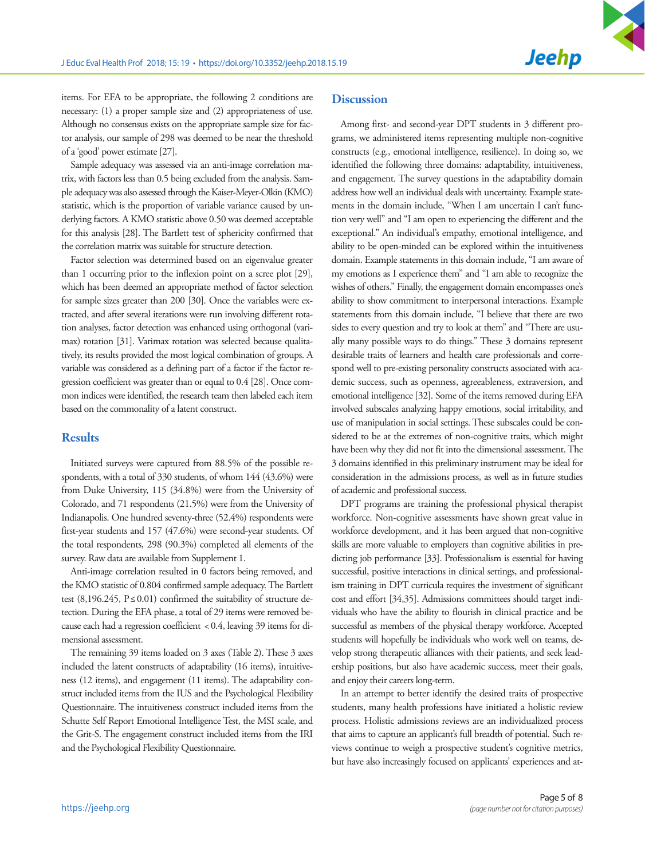items. For EFA to be appropriate, the following 2 conditions are necessary: (1) a proper sample size and (2) appropriateness of use. Although no consensus exists on the appropriate sample size for factor analysis, our sample of 298 was deemed to be near the threshold of a 'good' power estimate [27].

Sample adequacy was assessed via an anti-image correlation matrix, with factors less than 0.5 being excluded from the analysis. Sample adequacy was also assessed through the Kaiser-Meyer-Olkin (KMO) statistic, which is the proportion of variable variance caused by underlying factors. A KMO statistic above 0.50 was deemed acceptable for this analysis [28]. The Bartlett test of sphericity confirmed that the correlation matrix was suitable for structure detection.

Factor selection was determined based on an eigenvalue greater than 1 occurring prior to the inflexion point on a scree plot [29], which has been deemed an appropriate method of factor selection for sample sizes greater than 200 [30]. Once the variables were extracted, and after several iterations were run involving different rotation analyses, factor detection was enhanced using orthogonal (varimax) rotation [31]. Varimax rotation was selected because qualitatively, its results provided the most logical combination of groups. A variable was considered as a defining part of a factor if the factor regression coefficient was greater than or equal to 0.4 [28]. Once common indices were identified, the research team then labeled each item based on the commonality of a latent construct.

### **Results**

Initiated surveys were captured from 88.5% of the possible respondents, with a total of 330 students, of whom 144 (43.6%) were from Duke University, 115 (34.8%) were from the University of Colorado, and 71 respondents (21.5%) were from the University of Indianapolis. One hundred seventy-three (52.4%) respondents were first-year students and 157 (47.6%) were second-year students. Of the total respondents, 298 (90.3%) completed all elements of the survey. Raw data are available from Supplement 1.

Anti-image correlation resulted in 0 factors being removed, and the KMO statistic of 0.804 confirmed sample adequacy. The Bartlett test (8,196.245,  $P \le 0.01$ ) confirmed the suitability of structure detection. During the EFA phase, a total of 29 items were removed because each had a regression coefficient < 0.4, leaving 39 items for dimensional assessment.

The remaining 39 items loaded on 3 axes (Table 2). These 3 axes included the latent constructs of adaptability (16 items), intuitiveness (12 items), and engagement (11 items). The adaptability construct included items from the IUS and the Psychological Flexibility Questionnaire. The intuitiveness construct included items from the Schutte Self Report Emotional Intelligence Test, the MSI scale, and the Grit-S. The engagement construct included items from the IRI and the Psychological Flexibility Questionnaire.

# **Discussion**

Among first- and second-year DPT students in 3 different programs, we administered items representing multiple non-cognitive constructs (e.g., emotional intelligence, resilience). In doing so, we identified the following three domains: adaptability, intuitiveness, and engagement. The survey questions in the adaptability domain address how well an individual deals with uncertainty. Example statements in the domain include, "When I am uncertain I can't function very well" and "I am open to experiencing the different and the exceptional." An individual's empathy, emotional intelligence, and ability to be open-minded can be explored within the intuitiveness domain. Example statements in this domain include, "I am aware of my emotions as I experience them" and "I am able to recognize the wishes of others." Finally, the engagement domain encompasses one's ability to show commitment to interpersonal interactions. Example statements from this domain include, "I believe that there are two sides to every question and try to look at them" and "There are usually many possible ways to do things." These 3 domains represent desirable traits of learners and health care professionals and correspond well to pre-existing personality constructs associated with academic success, such as openness, agreeableness, extraversion, and emotional intelligence [32]. Some of the items removed during EFA involved subscales analyzing happy emotions, social irritability, and use of manipulation in social settings. These subscales could be considered to be at the extremes of non-cognitive traits, which might have been why they did not fit into the dimensional assessment. The 3 domains identified in this preliminary instrument may be ideal for consideration in the admissions process, as well as in future studies of academic and professional success.

DPT programs are training the professional physical therapist workforce. Non-cognitive assessments have shown great value in workforce development, and it has been argued that non-cognitive skills are more valuable to employers than cognitive abilities in predicting job performance [33]. Professionalism is essential for having successful, positive interactions in clinical settings, and professionalism training in DPT curricula requires the investment of significant cost and effort [34,35]. Admissions committees should target individuals who have the ability to flourish in clinical practice and be successful as members of the physical therapy workforce. Accepted students will hopefully be individuals who work well on teams, develop strong therapeutic alliances with their patients, and seek leadership positions, but also have academic success, meet their goals, and enjoy their careers long-term.

In an attempt to better identify the desired traits of prospective students, many health professions have initiated a holistic review process. Holistic admissions reviews are an individualized process that aims to capture an applicant's full breadth of potential. Such reviews continue to weigh a prospective student's cognitive metrics, but have also increasingly focused on applicants' experiences and at-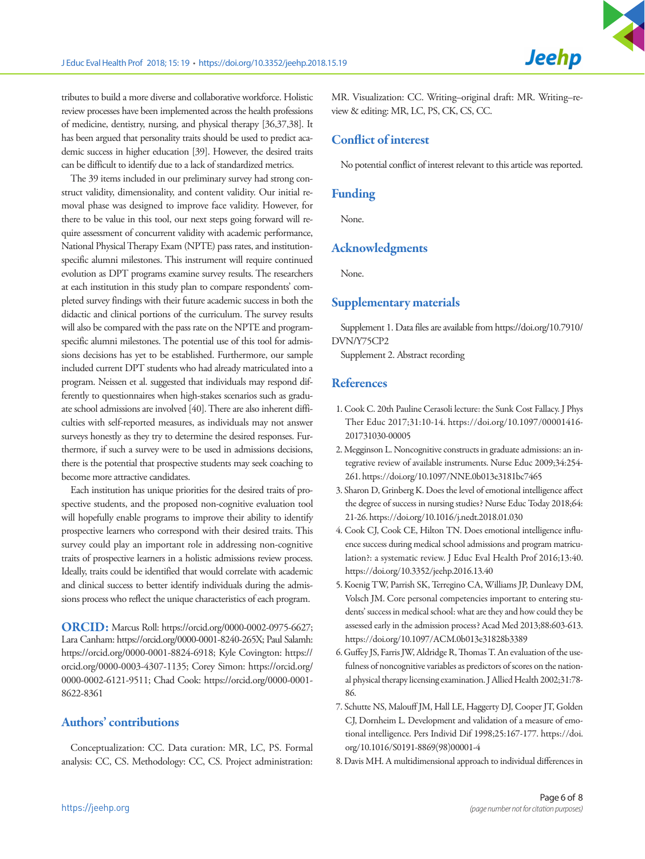tributes to build a more diverse and collaborative workforce. Holistic review processes have been implemented across the health professions of medicine, dentistry, nursing, and physical therapy [36,37,38]. It has been argued that personality traits should be used to predict academic success in higher education [39]. However, the desired traits can be difficult to identify due to a lack of standardized metrics.

The 39 items included in our preliminary survey had strong construct validity, dimensionality, and content validity. Our initial removal phase was designed to improve face validity. However, for there to be value in this tool, our next steps going forward will require assessment of concurrent validity with academic performance, National Physical Therapy Exam (NPTE) pass rates, and institutionspecific alumni milestones. This instrument will require continued evolution as DPT programs examine survey results. The researchers at each institution in this study plan to compare respondents' completed survey findings with their future academic success in both the didactic and clinical portions of the curriculum. The survey results will also be compared with the pass rate on the NPTE and programspecific alumni milestones. The potential use of this tool for admissions decisions has yet to be established. Furthermore, our sample included current DPT students who had already matriculated into a program. Neissen et al. suggested that individuals may respond differently to questionnaires when high-stakes scenarios such as graduate school admissions are involved [40]. There are also inherent difficulties with self-reported measures, as individuals may not answer surveys honestly as they try to determine the desired responses. Furthermore, if such a survey were to be used in admissions decisions, there is the potential that prospective students may seek coaching to become more attractive candidates.

Each institution has unique priorities for the desired traits of prospective students, and the proposed non-cognitive evaluation tool will hopefully enable programs to improve their ability to identify prospective learners who correspond with their desired traits. This survey could play an important role in addressing non-cognitive traits of prospective learners in a holistic admissions review process. Ideally, traits could be identified that would correlate with academic and clinical success to better identify individuals during the admissions process who reflect the unique characteristics of each program.

ORCID: Marcus Roll: https://orcid.org/0000-0002-0975-6627; Lara Canham: https://orcid.org/0000-0001-8240-265X; Paul Salamh: https://orcid.org/0000-0001-8824-6918; Kyle Covington: https:// orcid.org/0000-0003-4307-1135; Corey Simon: https://orcid.org/ 0000-0002-6121-9511; Chad Cook: https://orcid.org/0000-0001- 8622-8361

# Authors' contributions

Conceptualization: CC. Data curation: MR, LC, PS. Formal analysis: CC, CS. Methodology: CC, CS. Project administration:

MR. Visualization: CC. Writing–original draft: MR. Writing–review & editing: MR, LC, PS, CK, CS, CC.

**Jeehp** 

# Conflict of interest

No potential conflict of interest relevant to this article was reported.

## Funding

None.

## Acknowledgments

None.

#### Supplementary materials

Supplement 1. Data files are available from [https://doi.org/10.7910/](https://doi.org/10.7910/DVN/Y75CP2)  [DVN/Y75CP2](https://doi.org/10.7910/DVN/Y75CP2)

Supplement 2. Abstract recording

# **References**

- 1. Cook C. 20th Pauline Cerasoli lecture: the Sunk Cost Fallacy. J Phys Ther Educ 2017;31:10-14. https://doi.org/10.1097/00001416- 201731030-00005
- 2. Megginson L. Noncognitive constructs in graduate admissions: an integrative review of available instruments. Nurse Educ 2009;34:254- 261. https://doi.org/10.1097/NNE.0b013e3181bc7465
- 3. Sharon D, Grinberg K. Does the level of emotional intelligence affect the degree of success in nursing studies? Nurse Educ Today 2018;64: 21-26. https://doi.org/10.1016/j.nedt.2018.01.030
- 4. Cook CJ, Cook CE, Hilton TN. Does emotional intelligence influence success during medical school admissions and program matriculation?: a systematic review. J Educ Eval Health Prof 2016;13:40. https://doi.org/10.3352/jeehp.2016.13.40
- 5. Koenig TW, Parrish SK, Terregino CA, Williams JP, Dunleavy DM, Volsch JM. Core personal competencies important to entering students' success in medical school: what are they and how could they be assessed early in the admission process? Acad Med 2013;88:603-613. https://doi.org/10.1097/ACM.0b013e31828b3389
- 6. Guffey JS, Farris JW, Aldridge R, Thomas T. An evaluation of the usefulness of noncognitive variables as predictors of scores on the national physical therapy licensing examination. J Allied Health 2002;31:78- 86.
- 7. Schutte NS, Malouff JM, Hall LE, Haggerty DJ, Cooper JT, Golden CJ, Dornheim L. Development and validation of a measure of emotional intelligence. Pers Individ Dif 1998;25:167-177. [https://doi.](https://doi.org/10.1016/S0191-8869(98)00001-4) [org/10.1016/S0191-8869\(98\)00001-4](https://doi.org/10.1016/S0191-8869(98)00001-4)
- 8. Davis MH. A multidimensional approach to individual differences in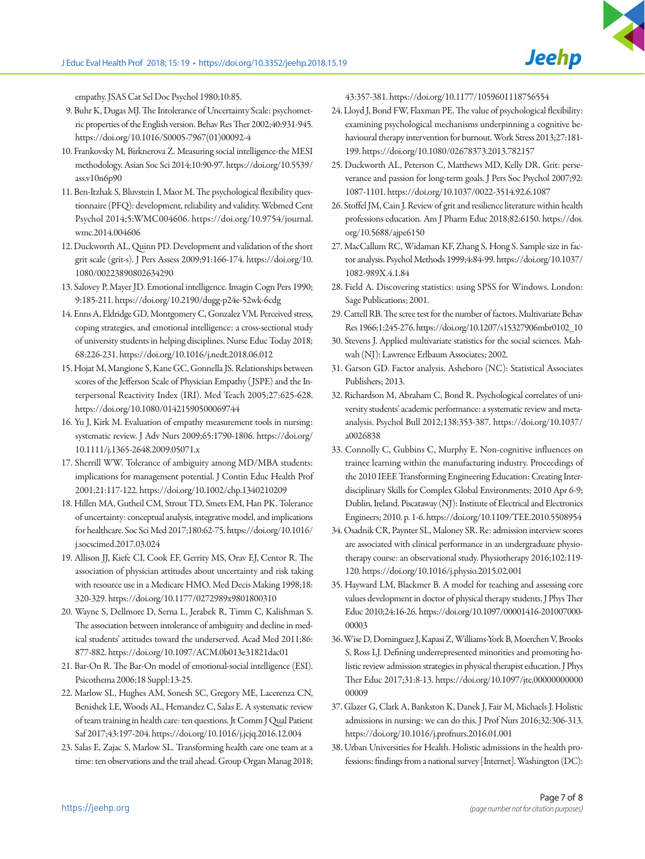empathy. JSAS Cat Sel Doc Psychol 1980;10:85.

- 9. Buhr K, Dugas MJ. The Intolerance of Uncertainty Scale: psychometric properties of the English version. Behav Res Ther 2002;40:931-945. [https://doi.org/10.1016/S0005-7967\(01\)00092-4](https://doi.org/10.1016/S0005-7967(01)00092-4)
- 10. Frankovsky M, Birknerova Z. Measuring social intelligence-the MESI methodology. Asian Soc Sci 2014;10:90-97. [https://doi.org/10.5539/](https://doi.org/10.5539/ass.v10n6p90)  [ass.v10n6p90](https://doi.org/10.5539/ass.v10n6p90)
- 11. Ben-Itzhak S, Bluvstein I, Maor M. The psychological flexibility questionnaire (PFQ): development, reliability and validity. Webmed Cent Psychol 2014;5:WMC004606. https://doi.org/10.9754/journal. wmc.2014.004606
- 12. Duckworth AL, Quinn PD. Development and validation of the short grit scale (grit-s). J Pers Assess 2009;91:166-174. [https://doi.org/10.](https://doi.org/10.1080/00223890802634290)  [1080/00223890802634290](https://doi.org/10.1080/00223890802634290)
- 13. Salovey P, Mayer JD. Emotional intelligence. Imagin Cogn Pers 1990; 9:185-211. https://doi.org/10.2190/dugg-p24e-52wk-6cdg
- 14. Enns A, Eldridge GD, Montgomery C, Gonzalez VM. Perceived stress, coping strategies, and emotional intelligence: a cross-sectional study of university students in helping disciplines. Nurse Educ Today 2018; 68:226-231. https://doi.org/10.1016/j.nedt.2018.06.012
- 15. Hojat M, Mangione S, Kane GC, Gonnella JS. Relationships between scores of the Jefferson Scale of Physician Empathy (JSPE) and the Interpersonal Reactivity Index (IRI). Med Teach 2005;27:625-628. https://doi.org/10.1080/01421590500069744
- 16. Yu J, Kirk M. Evaluation of empathy measurement tools in nursing: systematic review. J Adv Nurs 2009;65:1790-1806. [https://doi.org/](https://doi.org/10.1111/j.1365-2648.2009.05071.x)  [10.1111/j.1365-2648.2009.05071.x](https://doi.org/10.1111/j.1365-2648.2009.05071.x)
- 17. Sherrill WW. Tolerance of ambiguity among MD/MBA students: implications for management potential. J Contin Educ Health Prof 2001;21:117-122. https://doi.org/10.1002/chp.1340210209
- 18. Hillen MA, Gutheil CM, Strout TD, Smets EM, Han PK. Tolerance of uncertainty: conceptual analysis, integrative model, and implications for healthcare. Soc Sci Med 2017;180:62-75. [https://doi.org/10.1016/](https://doi.org/10.1016/j.socscimed.2017.03.024)  [j.socscimed.2017.03.024](https://doi.org/10.1016/j.socscimed.2017.03.024)
- 19. Allison JJ, Kiefe CI, Cook EF, Gerrity MS, Orav EJ, Centor R. The association of physician attitudes about uncertainty and risk taking with resource use in a Medicare HMO. Med Decis Making 1998;18: 320-329. https://doi.org/10.1177/0272989x9801800310
- 20. Wayne S, Dellmore D, Serna L, Jerabek R, Timm C, Kalishman S. The association between intolerance of ambiguity and decline in medical students' attitudes toward the underserved. Acad Med 2011;86: 877-882. https://doi.org/10.1097/ACM.0b013e31821dac01
- 21. Bar-On R. The Bar-On model of emotional-social intelligence (ESI). Psicothema 2006;18 Suppl:13-25.
- 22. Marlow SL, Hughes AM, Sonesh SC, Gregory ME, Lacerenza CN, Benishek LE, Woods AL, Hernandez C, Salas E. A systematic review of team training in health care: ten questions. Jt Comm J Qual Patient Saf 2017;43:197-204. https://doi.org/10.1016/j.jcjq.2016.12.004
- 23. Salas E, Zajac S, Marlow SL. Transforming health care one team at a time: ten observations and the trail ahead. Group Organ Manag 2018;

43:357-381. https://doi.org/10.1177/1059601118756554

- 24. Lloyd J, Bond FW, Flaxman PE. The value of psychological flexibility: examining psychological mechanisms underpinning a cognitive behavioural therapy intervention for burnout. Work Stress 2013;27:181- 199. https://doi.org/10.1080/02678373.2013.782157
- 25. Duckworth AL, Peterson C, Matthews MD, Kelly DR. Grit: perseverance and passion for long-term goals. J Pers Soc Psychol 2007;92: 1087-1101. https://doi.org/10.1037/0022-3514.92.6.1087
- 26. Stoffel JM, Cain J. Review of grit and resilience literature within health professions education. Am J Pharm Educ 2018;82:6150. [https://doi.](https://doi.org/10.5688/ajpe6150) [org/10.5688/ajpe6150](https://doi.org/10.5688/ajpe6150)
- 27. MacCallum RC, Widaman KF, Zhang S, Hong S. Sample size in factor analysis. Psychol Methods 1999;4:84-99. [https://doi.org/10.1037/](https://doi.org/10.1037/1082-989X.4.1.84)  [1082-989X.4.1.84](https://doi.org/10.1037/1082-989X.4.1.84)
- 28. Field A. Discovering statistics: using SPSS for Windows. London: Sage Publications; 2001.
- 29. Cattell RB. The scree test for the number of factors. Multivariate Behav Res 1966;1:245-276. https://doi.org/10.1207/s15327906mbr0102\_10
- 30. Stevens J. Applied multivariate statistics for the social sciences. Mahwah (NJ): Lawrence Erlbaum Associates; 2002.
- 31. Garson GD. Factor analysis. Asheboro (NC): Statistical Associates Publishers; 2013.
- 32. Richardson M, Abraham C, Bond R. Psychological correlates of university students' academic performance: a systematic review and metaanalysis. Psychol Bull 2012;138:353-387. https://doi.org/10.1037/ a0026838
- 33. Connolly C, Gubbins C, Murphy E. Non-cognitive influences on trainee learning within the manufacturing industry. Proceedings of the 2010 IEEE Transforming Engineering Education: Creating Interdisciplinary Skills for Complex Global Environments; 2010 Apr 6-9; Dublin, Ireland. Piscataway (NJ): Institute of Electrical and Electronics Engineers; 2010. p. 1-6. https://doi.org/10.1109/TEE.2010.5508954
- 34. Osadnik CR, Paynter SL, Maloney SR. Re: admission interview scores are associated with clinical performance in an undergraduate physiotherapy course: an observational study. Physiotherapy 2016;102:119- 120. https://doi.org/10.1016/j.physio.2015.02.001
- 35. Hayward LM, Blackmer B. A model for teaching and assessing core values development in doctor of physical therapy students. J Phys Ther Educ 2010;24:16-26. https://doi.org/10.1097/00001416-201007000- 00003
- 36. Wise D, Dominguez J, Kapasi Z, Williams-York B, Moerchen V, Brooks S, Ross LJ. Defining underrepresented minorities and promoting holistic review admission strategies in physical therapist education. J Phys Ther Educ 2017;31:8-13. [https://doi.org/10.1097/jte.00000000000](https://doi.org/10.1097/jte.0000000000000009)  [00009](https://doi.org/10.1097/jte.0000000000000009)
- 37. Glazer G, Clark A, Bankston K, Danek J, Fair M, Michaels J. Holistic admissions in nursing: we can do this. J Prof Nurs 2016;32:306-313. https://doi.org/10.1016/j.profnurs.2016.01.001
- 38. Urban Universities for Health. Holistic admissions in the health professions: findings from a national survey [Internet]. Washington (DC):